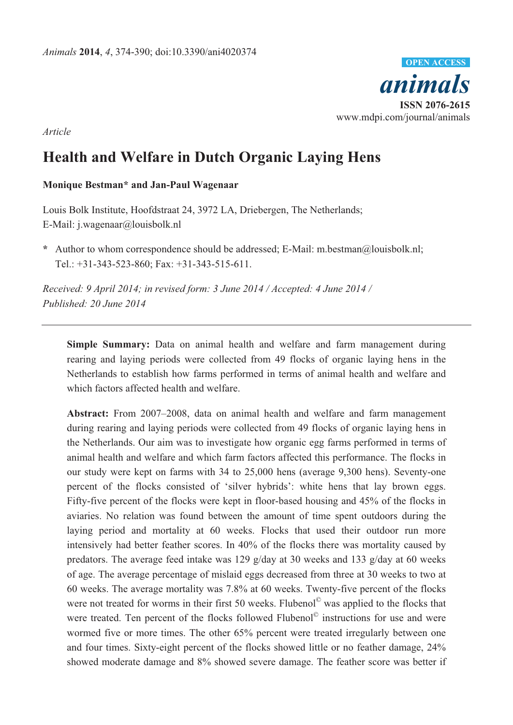

*Article* 

# **Health and Welfare in Dutch Organic Laying Hens**

# **Monique Bestman\* and Jan-Paul Wagenaar**

Louis Bolk Institute, Hoofdstraat 24, 3972 LA, Driebergen, The Netherlands; E-Mail: j.wagenaar@louisbolk.nl

**\*** Author to whom correspondence should be addressed; E-Mail: m.bestman@louisbolk.nl; Tel.: +31-343-523-860; Fax: +31-343-515-611.

*Received: 9 April 2014; in revised form: 3 June 2014 / Accepted: 4 June 2014 / Published: 20 June 2014*

**Simple Summary:** Data on animal health and welfare and farm management during rearing and laying periods were collected from 49 flocks of organic laying hens in the Netherlands to establish how farms performed in terms of animal health and welfare and which factors affected health and welfare.

**Abstract:** From 2007–2008, data on animal health and welfare and farm management during rearing and laying periods were collected from 49 flocks of organic laying hens in the Netherlands. Our aim was to investigate how organic egg farms performed in terms of animal health and welfare and which farm factors affected this performance. The flocks in our study were kept on farms with 34 to 25,000 hens (average 9,300 hens). Seventy-one percent of the flocks consisted of 'silver hybrids': white hens that lay brown eggs. Fifty-five percent of the flocks were kept in floor-based housing and 45% of the flocks in aviaries. No relation was found between the amount of time spent outdoors during the laying period and mortality at 60 weeks. Flocks that used their outdoor run more intensively had better feather scores. In 40% of the flocks there was mortality caused by predators. The average feed intake was 129 g/day at 30 weeks and 133 g/day at 60 weeks of age. The average percentage of mislaid eggs decreased from three at 30 weeks to two at 60 weeks. The average mortality was 7.8% at 60 weeks. Twenty-five percent of the flocks were not treated for worms in their first 50 weeks. Flubenol<sup>©</sup> was applied to the flocks that were treated. Ten percent of the flocks followed Flubenol<sup>©</sup> instructions for use and were wormed five or more times. The other 65% percent were treated irregularly between one and four times. Sixty-eight percent of the flocks showed little or no feather damage, 24% showed moderate damage and 8% showed severe damage. The feather score was better if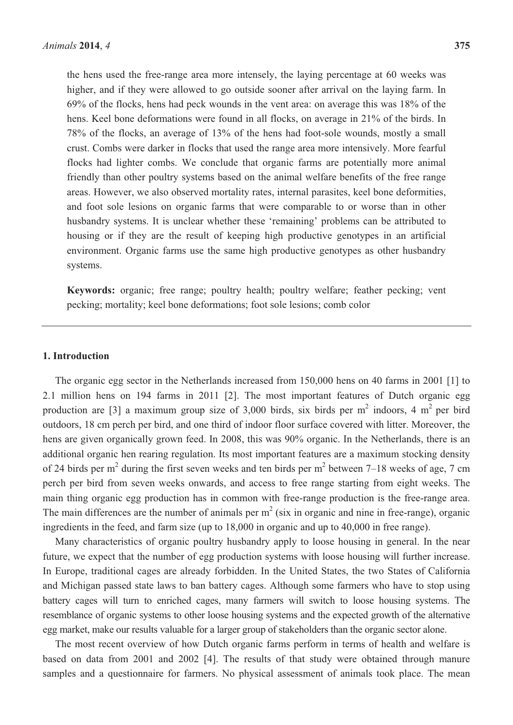the hens used the free-range area more intensely, the laying percentage at 60 weeks was higher, and if they were allowed to go outside sooner after arrival on the laying farm. In 69% of the flocks, hens had peck wounds in the vent area: on average this was 18% of the hens. Keel bone deformations were found in all flocks, on average in 21% of the birds. In 78% of the flocks, an average of 13% of the hens had foot-sole wounds, mostly a small crust. Combs were darker in flocks that used the range area more intensively. More fearful flocks had lighter combs. We conclude that organic farms are potentially more animal friendly than other poultry systems based on the animal welfare benefits of the free range areas. However, we also observed mortality rates, internal parasites, keel bone deformities, and foot sole lesions on organic farms that were comparable to or worse than in other husbandry systems. It is unclear whether these 'remaining' problems can be attributed to housing or if they are the result of keeping high productive genotypes in an artificial environment. Organic farms use the same high productive genotypes as other husbandry systems.

**Keywords:** organic; free range; poultry health; poultry welfare; feather pecking; vent pecking; mortality; keel bone deformations; foot sole lesions; comb color

## **1. Introduction**

The organic egg sector in the Netherlands increased from 150,000 hens on 40 farms in 2001 [1] to 2.1 million hens on 194 farms in 2011 [2]. The most important features of Dutch organic egg production are [3] a maximum group size of 3,000 birds, six birds per  $m^2$  indoors, 4  $m^2$  per bird outdoors, 18 cm perch per bird, and one third of indoor floor surface covered with litter. Moreover, the hens are given organically grown feed. In 2008, this was 90% organic. In the Netherlands, there is an additional organic hen rearing regulation. Its most important features are a maximum stocking density of 24 birds per m<sup>2</sup> during the first seven weeks and ten birds per m<sup>2</sup> between 7–18 weeks of age, 7 cm perch per bird from seven weeks onwards, and access to free range starting from eight weeks. The main thing organic egg production has in common with free-range production is the free-range area. The main differences are the number of animals per  $m<sup>2</sup>$  (six in organic and nine in free-range), organic ingredients in the feed, and farm size (up to 18,000 in organic and up to 40,000 in free range).

Many characteristics of organic poultry husbandry apply to loose housing in general. In the near future, we expect that the number of egg production systems with loose housing will further increase. In Europe, traditional cages are already forbidden. In the United States, the two States of California and Michigan passed state laws to ban battery cages. Although some farmers who have to stop using battery cages will turn to enriched cages, many farmers will switch to loose housing systems. The resemblance of organic systems to other loose housing systems and the expected growth of the alternative egg market, make our results valuable for a larger group of stakeholders than the organic sector alone.

The most recent overview of how Dutch organic farms perform in terms of health and welfare is based on data from 2001 and 2002 [4]. The results of that study were obtained through manure samples and a questionnaire for farmers. No physical assessment of animals took place. The mean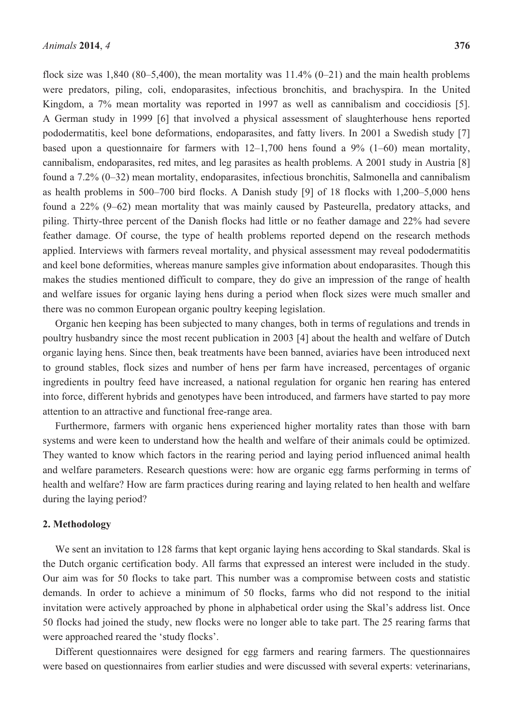flock size was 1,840 (80–5,400), the mean mortality was  $11.4\%$  (0–21) and the main health problems were predators, piling, coli, endoparasites, infectious bronchitis, and brachyspira. In the United Kingdom, a 7% mean mortality was reported in 1997 as well as cannibalism and coccidiosis [5]. A German study in 1999 [6] that involved a physical assessment of slaughterhouse hens reported pododermatitis, keel bone deformations, endoparasites, and fatty livers. In 2001 a Swedish study [7] based upon a questionnaire for farmers with  $12-1,700$  hens found a  $9\%$  (1–60) mean mortality, cannibalism, endoparasites, red mites, and leg parasites as health problems. A 2001 study in Austria [8] found a 7.2% (0–32) mean mortality, endoparasites, infectious bronchitis, Salmonella and cannibalism as health problems in 500–700 bird flocks. A Danish study [9] of 18 flocks with 1,200–5,000 hens found a 22% (9–62) mean mortality that was mainly caused by Pasteurella, predatory attacks, and piling. Thirty-three percent of the Danish flocks had little or no feather damage and 22% had severe feather damage. Of course, the type of health problems reported depend on the research methods applied. Interviews with farmers reveal mortality, and physical assessment may reveal pododermatitis and keel bone deformities, whereas manure samples give information about endoparasites. Though this makes the studies mentioned difficult to compare, they do give an impression of the range of health and welfare issues for organic laying hens during a period when flock sizes were much smaller and there was no common European organic poultry keeping legislation.

Organic hen keeping has been subjected to many changes, both in terms of regulations and trends in poultry husbandry since the most recent publication in 2003 [4] about the health and welfare of Dutch organic laying hens. Since then, beak treatments have been banned, aviaries have been introduced next to ground stables, flock sizes and number of hens per farm have increased, percentages of organic ingredients in poultry feed have increased, a national regulation for organic hen rearing has entered into force, different hybrids and genotypes have been introduced, and farmers have started to pay more attention to an attractive and functional free-range area.

Furthermore, farmers with organic hens experienced higher mortality rates than those with barn systems and were keen to understand how the health and welfare of their animals could be optimized. They wanted to know which factors in the rearing period and laying period influenced animal health and welfare parameters. Research questions were: how are organic egg farms performing in terms of health and welfare? How are farm practices during rearing and laying related to hen health and welfare during the laying period?

#### **2. Methodology**

We sent an invitation to 128 farms that kept organic laying hens according to Skal standards. Skal is the Dutch organic certification body. All farms that expressed an interest were included in the study. Our aim was for 50 flocks to take part. This number was a compromise between costs and statistic demands. In order to achieve a minimum of 50 flocks, farms who did not respond to the initial invitation were actively approached by phone in alphabetical order using the Skal's address list. Once 50 flocks had joined the study, new flocks were no longer able to take part. The 25 rearing farms that were approached reared the 'study flocks'.

Different questionnaires were designed for egg farmers and rearing farmers. The questionnaires were based on questionnaires from earlier studies and were discussed with several experts: veterinarians,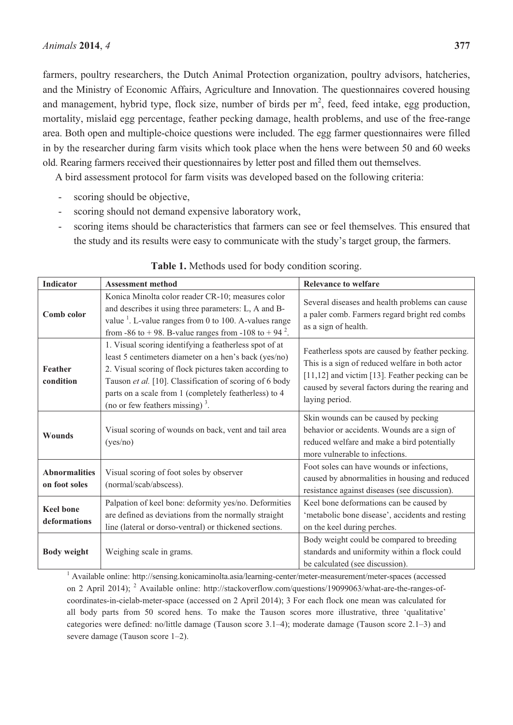farmers, poultry researchers, the Dutch Animal Protection organization, poultry advisors, hatcheries, and the Ministry of Economic Affairs, Agriculture and Innovation. The questionnaires covered housing and management, hybrid type, flock size, number of birds per  $m^2$ , feed, feed intake, egg production, mortality, mislaid egg percentage, feather pecking damage, health problems, and use of the free-range area. Both open and multiple-choice questions were included. The egg farmer questionnaires were filled in by the researcher during farm visits which took place when the hens were between 50 and 60 weeks old. Rearing farmers received their questionnaires by letter post and filled them out themselves.

A bird assessment protocol for farm visits was developed based on the following criteria:

- scoring should be objective,
- scoring should not demand expensive laboratory work,
- scoring items should be characteristics that farmers can see or feel themselves. This ensured that the study and its results were easy to communicate with the study's target group, the farmers.

| Indicator                             | <b>Assessment method</b>                                                                                                                                                                                                                                                                                                             | <b>Relevance to welfare</b>                                                                                                                                                                                                  |  |  |
|---------------------------------------|--------------------------------------------------------------------------------------------------------------------------------------------------------------------------------------------------------------------------------------------------------------------------------------------------------------------------------------|------------------------------------------------------------------------------------------------------------------------------------------------------------------------------------------------------------------------------|--|--|
| Comb color                            | Konica Minolta color reader CR-10; measures color<br>and describes it using three parameters: L, A and B-<br>value $^1$ . L-value ranges from 0 to 100. A-values range<br>from -86 to +98. B-value ranges from -108 to +94 <sup>2</sup> .                                                                                            | Several diseases and health problems can cause<br>a paler comb. Farmers regard bright red combs<br>as a sign of health.                                                                                                      |  |  |
| Feather<br>condition                  | 1. Visual scoring identifying a featherless spot of at<br>least 5 centimeters diameter on a hen's back (yes/no)<br>2. Visual scoring of flock pictures taken according to<br>Tauson et al. [10]. Classification of scoring of 6 body<br>parts on a scale from 1 (completely featherless) to 4<br>(no or few feathers missing) $^3$ . | Featherless spots are caused by feather pecking.<br>This is a sign of reduced welfare in both actor<br>[11,12] and victim [13]. Feather pecking can be<br>caused by several factors during the rearing and<br>laying period. |  |  |
| <b>Wounds</b>                         | Visual scoring of wounds on back, vent and tail area<br>(yes/no)                                                                                                                                                                                                                                                                     | Skin wounds can be caused by pecking<br>behavior or accidents. Wounds are a sign of<br>reduced welfare and make a bird potentially<br>more vulnerable to infections.                                                         |  |  |
| <b>Abnormalities</b><br>on foot soles | Visual scoring of foot soles by observer<br>(normal/scab/abscess).                                                                                                                                                                                                                                                                   | Foot soles can have wounds or infections,<br>caused by abnormalities in housing and reduced<br>resistance against diseases (see discussion).                                                                                 |  |  |
| <b>Keel bone</b><br>deformations      | Palpation of keel bone: deformity yes/no. Deformities<br>are defined as deviations from the normally straight<br>line (lateral or dorso-ventral) or thickened sections.                                                                                                                                                              | Keel bone deformations can be caused by<br>'metabolic bone disease', accidents and resting<br>on the keel during perches.                                                                                                    |  |  |
| <b>Body weight</b>                    | Weighing scale in grams.                                                                                                                                                                                                                                                                                                             | Body weight could be compared to breeding<br>standards and uniformity within a flock could<br>be calculated (see discussion).                                                                                                |  |  |

**Table 1.** Methods used for body condition scoring.

<sup>1</sup> Available online: http://sensing.konicaminolta.asia/learning-center/meter-measurement/meter-spaces (accessed on 2 April 2014); <sup>2</sup> Available online: http://stackoverflow.com/questions/19099063/what-are-the-ranges-ofcoordinates-in-cielab-meter-space (accessed on 2 April 2014); 3 For each flock one mean was calculated for all body parts from 50 scored hens. To make the Tauson scores more illustrative, three 'qualitative' categories were defined: no/little damage (Tauson score 3.1–4); moderate damage (Tauson score 2.1–3) and severe damage (Tauson score 1–2).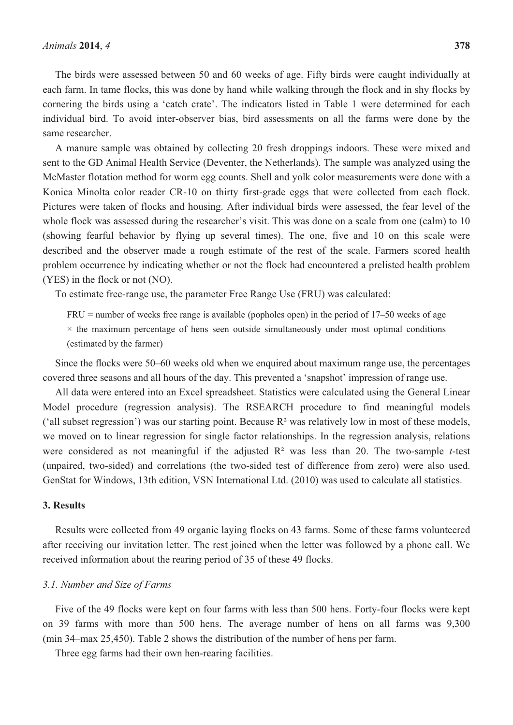The birds were assessed between 50 and 60 weeks of age. Fifty birds were caught individually at each farm. In tame flocks, this was done by hand while walking through the flock and in shy flocks by cornering the birds using a 'catch crate'. The indicators listed in Table 1 were determined for each individual bird. To avoid inter-observer bias, bird assessments on all the farms were done by the same researcher.

A manure sample was obtained by collecting 20 fresh droppings indoors. These were mixed and sent to the GD Animal Health Service (Deventer, the Netherlands). The sample was analyzed using the McMaster flotation method for worm egg counts. Shell and yolk color measurements were done with a Konica Minolta color reader CR-10 on thirty first-grade eggs that were collected from each flock. Pictures were taken of flocks and housing. After individual birds were assessed, the fear level of the whole flock was assessed during the researcher's visit. This was done on a scale from one (calm) to 10 (showing fearful behavior by flying up several times). The one, five and 10 on this scale were described and the observer made a rough estimate of the rest of the scale. Farmers scored health problem occurrence by indicating whether or not the flock had encountered a prelisted health problem (YES) in the flock or not (NO).

To estimate free-range use, the parameter Free Range Use (FRU) was calculated:

FRU = number of weeks free range is available (popholes open) in the period of 17–50 weeks of age  $\times$  the maximum percentage of hens seen outside simultaneously under most optimal conditions (estimated by the farmer)

Since the flocks were 50–60 weeks old when we enquired about maximum range use, the percentages covered three seasons and all hours of the day. This prevented a 'snapshot' impression of range use.

All data were entered into an Excel spreadsheet. Statistics were calculated using the General Linear Model procedure (regression analysis). The RSEARCH procedure to find meaningful models ('all subset regression') was our starting point. Because  $\mathbb{R}^2$  was relatively low in most of these models, we moved on to linear regression for single factor relationships. In the regression analysis, relations were considered as not meaningful if the adjusted R² was less than 20. The two-sample *t*-test (unpaired, two-sided) and correlations (the two-sided test of difference from zero) were also used. GenStat for Windows, 13th edition, VSN International Ltd. (2010) was used to calculate all statistics.

#### **3. Results**

Results were collected from 49 organic laying flocks on 43 farms. Some of these farms volunteered after receiving our invitation letter. The rest joined when the letter was followed by a phone call. We received information about the rearing period of 35 of these 49 flocks.

#### *3.1. Number and Size of Farms*

Five of the 49 flocks were kept on four farms with less than 500 hens. Forty-four flocks were kept on 39 farms with more than 500 hens. The average number of hens on all farms was 9,300 (min 34–max 25,450). Table 2 shows the distribution of the number of hens per farm.

Three egg farms had their own hen-rearing facilities.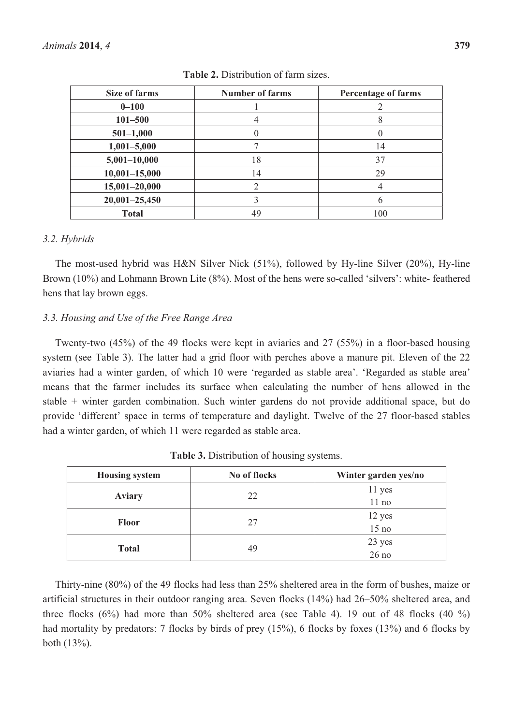| <b>Size of farms</b> | <b>Number of farms</b> | <b>Percentage of farms</b> |  |
|----------------------|------------------------|----------------------------|--|
| $0 - 100$            |                        |                            |  |
| $101 - 500$          |                        | ⌒                          |  |
| $501 - 1,000$        |                        |                            |  |
| $1,001 - 5,000$      |                        | 14                         |  |
| $5,001-10,000$       | 18                     | 37                         |  |
| $10,001 - 15,000$    | 14                     | 29                         |  |
| $15,001 - 20,000$    |                        |                            |  |
| $20,001 - 25,450$    |                        |                            |  |
| <b>Total</b>         | 49                     | 100                        |  |

**Table 2.** Distribution of farm sizes.

# *3.2. Hybrids*

The most-used hybrid was H&N Silver Nick (51%), followed by Hy-line Silver (20%), Hy-line Brown (10%) and Lohmann Brown Lite (8%). Most of the hens were so-called 'silvers': white- feathered hens that lay brown eggs.

# *3.3. Housing and Use of the Free Range Area*

Twenty-two (45%) of the 49 flocks were kept in aviaries and 27 (55%) in a floor-based housing system (see Table 3). The latter had a grid floor with perches above a manure pit. Eleven of the 22 aviaries had a winter garden, of which 10 were 'regarded as stable area'. 'Regarded as stable area' means that the farmer includes its surface when calculating the number of hens allowed in the stable + winter garden combination. Such winter gardens do not provide additional space, but do provide 'different' space in terms of temperature and daylight. Twelve of the 27 floor-based stables had a winter garden, of which 11 were regarded as stable area.

| <b>Housing system</b> | No of flocks | Winter garden yes/no                |
|-----------------------|--------------|-------------------------------------|
|                       | 22           | 11 yes                              |
| Aviary                |              | 11no                                |
|                       |              |                                     |
| <b>Floor</b>          | 27           | $12 \text{ yes}$<br>$15 \text{ no}$ |
|                       |              |                                     |
| <b>Total</b>          | 49           | $23 \text{ yes}$<br>$26 \text{ no}$ |

**Table 3.** Distribution of housing systems.

Thirty-nine (80%) of the 49 flocks had less than 25% sheltered area in the form of bushes, maize or artificial structures in their outdoor ranging area. Seven flocks (14%) had 26–50% sheltered area, and three flocks  $(6%)$  had more than 50% sheltered area (see Table 4). 19 out of 48 flocks  $(40 \%)$ had mortality by predators: 7 flocks by birds of prey (15%), 6 flocks by foxes (13%) and 6 flocks by both (13%).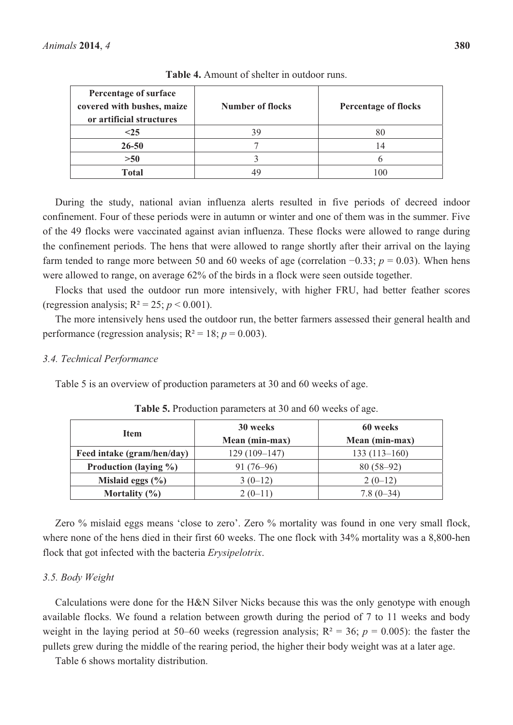| Percentage of surface<br>covered with bushes, maize<br>or artificial structures | Number of flocks | <b>Percentage of flocks</b> |
|---------------------------------------------------------------------------------|------------------|-----------------------------|
| $25$                                                                            | 39               | 80                          |
| $26 - 50$                                                                       |                  | 14                          |
| >50                                                                             |                  |                             |
| Total                                                                           |                  | 100                         |

**Table 4.** Amount of shelter in outdoor runs.

During the study, national avian influenza alerts resulted in five periods of decreed indoor confinement. Four of these periods were in autumn or winter and one of them was in the summer. Five of the 49 flocks were vaccinated against avian influenza. These flocks were allowed to range during the confinement periods. The hens that were allowed to range shortly after their arrival on the laying farm tended to range more between 50 and 60 weeks of age (correlation  $-0.33$ ;  $p = 0.03$ ). When hens were allowed to range, on average 62% of the birds in a flock were seen outside together.

Flocks that used the outdoor run more intensively, with higher FRU, had better feather scores (regression analysis;  $R^2 = 25$ ;  $p < 0.001$ ).

The more intensively hens used the outdoor run, the better farmers assessed their general health and performance (regression analysis;  $R^2 = 18$ ;  $p = 0.003$ ).

## *3.4. Technical Performance*

Table 5 is an overview of production parameters at 30 and 60 weeks of age.

|                            | 30 weeks       | 60 weeks       |  |
|----------------------------|----------------|----------------|--|
| Item                       | Mean (min-max) | Mean (min-max) |  |
| Feed intake (gram/hen/day) | $129(109-147)$ | $133(113-160)$ |  |
| Production (laying %)      | $91(76-96)$    | $80(58-92)$    |  |
| Mislaid eggs $(\% )$       | $3(0-12)$      | $2(0-12)$      |  |
| Mortality $(\% )$          | $2(0-11)$      | $7.8(0-34)$    |  |

**Table 5.** Production parameters at 30 and 60 weeks of age.

Zero % mislaid eggs means 'close to zero'. Zero % mortality was found in one very small flock, where none of the hens died in their first 60 weeks. The one flock with 34% mortality was a 8,800-hen flock that got infected with the bacteria *Erysipelotrix*.

# *3.5. Body Weight*

Calculations were done for the H&N Silver Nicks because this was the only genotype with enough available flocks. We found a relation between growth during the period of 7 to 11 weeks and body weight in the laying period at 50–60 weeks (regression analysis;  $R^2 = 36$ ;  $p = 0.005$ ): the faster the pullets grew during the middle of the rearing period, the higher their body weight was at a later age.

Table 6 shows mortality distribution.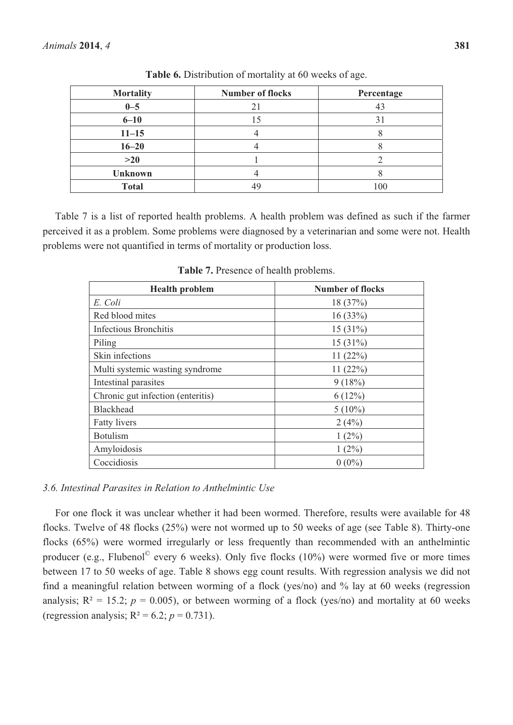| <b>Mortality</b> | <b>Number of flocks</b> | Percentage |
|------------------|-------------------------|------------|
| $0 - 5$          |                         | 43         |
| $6 - 10$         |                         | 31         |
| $11 - 15$        |                         |            |
| $16 - 20$        |                         |            |
| >20              |                         |            |
| <b>Unknown</b>   |                         |            |
| <b>Total</b>     |                         | 100        |

**Table 6.** Distribution of mortality at 60 weeks of age.

Table 7 is a list of reported health problems. A health problem was defined as such if the farmer perceived it as a problem. Some problems were diagnosed by a veterinarian and some were not. Health problems were not quantified in terms of mortality or production loss.

| <b>Health problem</b>             | <b>Number of flocks</b> |  |  |
|-----------------------------------|-------------------------|--|--|
| E. Coli                           | 18(37%)                 |  |  |
| Red blood mites                   | 16(33%)                 |  |  |
| Infectious Bronchitis             | $15(31\%)$              |  |  |
| Piling                            | $15(31\%)$              |  |  |
| Skin infections                   | 11(22%)                 |  |  |
| Multi systemic wasting syndrome   | 11(22%)                 |  |  |
| Intestinal parasites              | 9(18%)                  |  |  |
| Chronic gut infection (enteritis) | 6(12%)                  |  |  |
| <b>Blackhead</b>                  | $5(10\%)$               |  |  |
| <b>Fatty livers</b>               | 2(4%)                   |  |  |
| <b>Botulism</b>                   | $1(2\%)$                |  |  |
| Amyloidosis                       | $1(2\%)$                |  |  |
| Coccidiosis                       | $0(0\%)$                |  |  |

**Table 7.** Presence of health problems.

# *3.6. Intestinal Parasites in Relation to Anthelmintic Use*

For one flock it was unclear whether it had been wormed. Therefore, results were available for 48 flocks. Twelve of 48 flocks (25%) were not wormed up to 50 weeks of age (see Table 8). Thirty-one flocks (65%) were wormed irregularly or less frequently than recommended with an anthelmintic producer (e.g., Flubenol<sup>©</sup> every 6 weeks). Only five flocks (10%) were wormed five or more times between 17 to 50 weeks of age. Table 8 shows egg count results. With regression analysis we did not find a meaningful relation between worming of a flock (yes/no) and % lay at 60 weeks (regression analysis;  $R^2 = 15.2$ ;  $p = 0.005$ ), or between worming of a flock (yes/no) and mortality at 60 weeks (regression analysis;  $R^2 = 6.2$ ;  $p = 0.731$ ).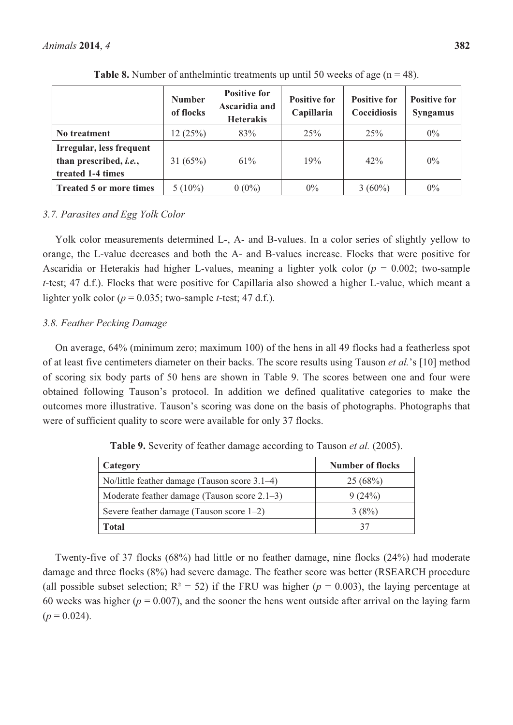|                                                                                 | <b>Number</b><br>of flocks | <b>Positive for</b><br>Ascaridia and<br><b>Heterakis</b> | <b>Positive for</b><br>Capillaria | <b>Positive for</b><br>Coccidiosis | <b>Positive for</b><br><b>Syngamus</b> |
|---------------------------------------------------------------------------------|----------------------------|----------------------------------------------------------|-----------------------------------|------------------------------------|----------------------------------------|
| No treatment                                                                    | 12(25%)                    | 83%                                                      | 25%                               | 25%                                | $0\%$                                  |
| Irregular, less frequent<br>than prescribed, <i>i.e.</i> ,<br>treated 1-4 times | 31 $(65%)$                 | 61%                                                      | 19%                               | 42%                                | $0\%$                                  |
| <b>Treated 5 or more times</b>                                                  | $5(10\%)$                  | $0(0\%)$                                                 | $0\%$                             | $3(60\%)$                          | $0\%$                                  |

**Table 8.** Number of anthelmintic treatments up until 50 weeks of age  $(n = 48)$ .

# *3.7. Parasites and Egg Yolk Color*

Yolk color measurements determined L-, A- and B-values. In a color series of slightly yellow to orange, the L-value decreases and both the A- and B-values increase. Flocks that were positive for Ascaridia or Heterakis had higher L-values, meaning a lighter yolk color (*p* = 0.002; two-sample *t*-test; 47 d.f.). Flocks that were positive for Capillaria also showed a higher L-value, which meant a lighter yolk color ( $p = 0.035$ ; two-sample *t*-test; 47 d.f.).

# *3.8. Feather Pecking Damage*

On average, 64% (minimum zero; maximum 100) of the hens in all 49 flocks had a featherless spot of at least five centimeters diameter on their backs. The score results using Tauson *et al.*'s [10] method of scoring six body parts of 50 hens are shown in Table 9. The scores between one and four were obtained following Tauson's protocol. In addition we defined qualitative categories to make the outcomes more illustrative. Tauson's scoring was done on the basis of photographs. Photographs that were of sufficient quality to score were available for only 37 flocks.

| Category                                        | <b>Number of flocks</b> |
|-------------------------------------------------|-------------------------|
| No/little feather damage (Tauson score 3.1–4)   | 25(68%)                 |
| Moderate feather damage (Tauson score $2.1-3$ ) | 9(24%)                  |
| Severe feather damage (Tauson score $1-2$ )     | 3(8%)                   |
| <b>Total</b>                                    | 37                      |

**Table 9.** Severity of feather damage according to Tauson *et al.* (2005).

Twenty-five of 37 flocks (68%) had little or no feather damage, nine flocks (24%) had moderate damage and three flocks (8%) had severe damage. The feather score was better (RSEARCH procedure (all possible subset selection;  $R^2 = 52$ ) if the FRU was higher ( $p = 0.003$ ), the laying percentage at 60 weeks was higher ( $p = 0.007$ ), and the sooner the hens went outside after arrival on the laying farm  $(p = 0.024)$ .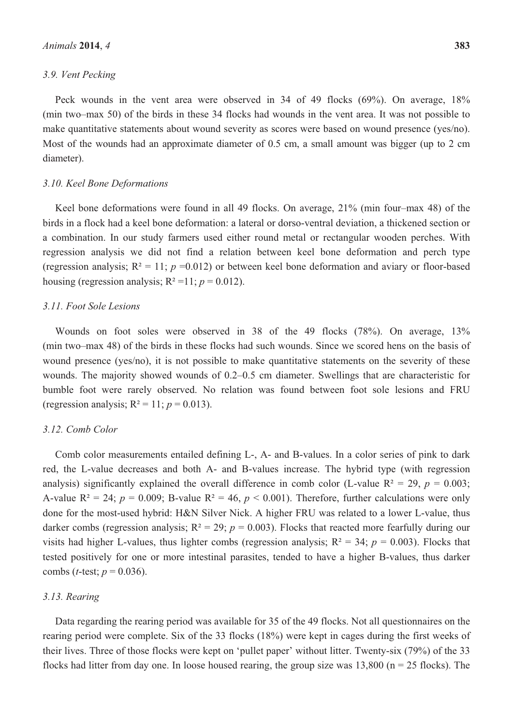#### *3.9. Vent Pecking*

Peck wounds in the vent area were observed in 34 of 49 flocks (69%). On average, 18% (min two–max 50) of the birds in these 34 flocks had wounds in the vent area. It was not possible to make quantitative statements about wound severity as scores were based on wound presence (yes/no). Most of the wounds had an approximate diameter of 0.5 cm, a small amount was bigger (up to 2 cm diameter).

## *3.10. Keel Bone Deformations*

Keel bone deformations were found in all 49 flocks. On average, 21% (min four–max 48) of the birds in a flock had a keel bone deformation: a lateral or dorso-ventral deviation, a thickened section or a combination. In our study farmers used either round metal or rectangular wooden perches. With regression analysis we did not find a relation between keel bone deformation and perch type (regression analysis;  $R^2 = 11$ ;  $p = 0.012$ ) or between keel bone deformation and aviary or floor-based housing (regression analysis;  $R^2 = 11$ ;  $p = 0.012$ ).

## *3.11. Foot Sole Lesions*

Wounds on foot soles were observed in 38 of the 49 flocks (78%). On average, 13% (min two–max 48) of the birds in these flocks had such wounds. Since we scored hens on the basis of wound presence (yes/no), it is not possible to make quantitative statements on the severity of these wounds. The majority showed wounds of 0.2–0.5 cm diameter. Swellings that are characteristic for bumble foot were rarely observed. No relation was found between foot sole lesions and FRU (regression analysis;  $R^2 = 11$ ;  $p = 0.013$ ).

## *3.12. Comb Color*

Comb color measurements entailed defining L-, A- and B-values. In a color series of pink to dark red, the L-value decreases and both A- and B-values increase. The hybrid type (with regression analysis) significantly explained the overall difference in comb color (L-value  $R^2 = 29$ ,  $p = 0.003$ ; A-value  $R^2 = 24$ ;  $p = 0.009$ ; B-value  $R^2 = 46$ ,  $p < 0.001$ ). Therefore, further calculations were only done for the most-used hybrid: H&N Silver Nick. A higher FRU was related to a lower L-value, thus darker combs (regression analysis;  $R^2 = 29$ ;  $p = 0.003$ ). Flocks that reacted more fearfully during our visits had higher L-values, thus lighter combs (regression analysis;  $R^2 = 34$ ;  $p = 0.003$ ). Flocks that tested positively for one or more intestinal parasites, tended to have a higher B-values, thus darker combs (*t*-test;  $p = 0.036$ ).

#### *3.13. Rearing*

Data regarding the rearing period was available for 35 of the 49 flocks. Not all questionnaires on the rearing period were complete. Six of the 33 flocks (18%) were kept in cages during the first weeks of their lives. Three of those flocks were kept on 'pullet paper' without litter. Twenty-six (79%) of the 33 flocks had litter from day one. In loose housed rearing, the group size was  $13,800$  (n = 25 flocks). The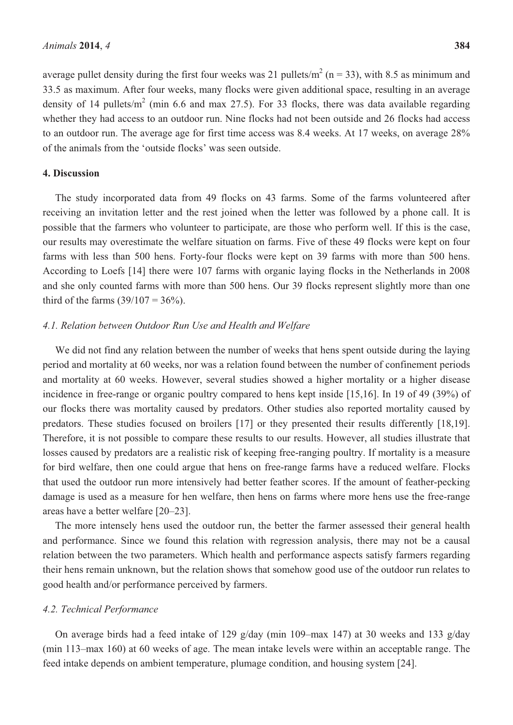average pullet density during the first four weeks was 21 pullets/ $m^2$  (n = 33), with 8.5 as minimum and 33.5 as maximum. After four weeks, many flocks were given additional space, resulting in an average density of 14 pullets/ $m^2$  (min 6.6 and max 27.5). For 33 flocks, there was data available regarding whether they had access to an outdoor run. Nine flocks had not been outside and 26 flocks had access to an outdoor run. The average age for first time access was 8.4 weeks. At 17 weeks, on average 28% of the animals from the 'outside flocks' was seen outside.

## **4. Discussion**

The study incorporated data from 49 flocks on 43 farms. Some of the farms volunteered after receiving an invitation letter and the rest joined when the letter was followed by a phone call. It is possible that the farmers who volunteer to participate, are those who perform well. If this is the case, our results may overestimate the welfare situation on farms. Five of these 49 flocks were kept on four farms with less than 500 hens. Forty-four flocks were kept on 39 farms with more than 500 hens. According to Loefs [14] there were 107 farms with organic laying flocks in the Netherlands in 2008 and she only counted farms with more than 500 hens. Our 39 flocks represent slightly more than one third of the farms  $(39/107 = 36\%)$ .

#### *4.1. Relation between Outdoor Run Use and Health and Welfare*

We did not find any relation between the number of weeks that hens spent outside during the laying period and mortality at 60 weeks, nor was a relation found between the number of confinement periods and mortality at 60 weeks. However, several studies showed a higher mortality or a higher disease incidence in free-range or organic poultry compared to hens kept inside [15,16]. In 19 of 49 (39%) of our flocks there was mortality caused by predators. Other studies also reported mortality caused by predators. These studies focused on broilers [17] or they presented their results differently [18,19]. Therefore, it is not possible to compare these results to our results. However, all studies illustrate that losses caused by predators are a realistic risk of keeping free-ranging poultry. If mortality is a measure for bird welfare, then one could argue that hens on free-range farms have a reduced welfare. Flocks that used the outdoor run more intensively had better feather scores. If the amount of feather-pecking damage is used as a measure for hen welfare, then hens on farms where more hens use the free-range areas have a better welfare [20–23].

The more intensely hens used the outdoor run, the better the farmer assessed their general health and performance. Since we found this relation with regression analysis, there may not be a causal relation between the two parameters. Which health and performance aspects satisfy farmers regarding their hens remain unknown, but the relation shows that somehow good use of the outdoor run relates to good health and/or performance perceived by farmers.

## *4.2. Technical Performance*

On average birds had a feed intake of 129 g/day (min 109–max 147) at 30 weeks and 133 g/day (min 113–max 160) at 60 weeks of age. The mean intake levels were within an acceptable range. The feed intake depends on ambient temperature, plumage condition, and housing system [24].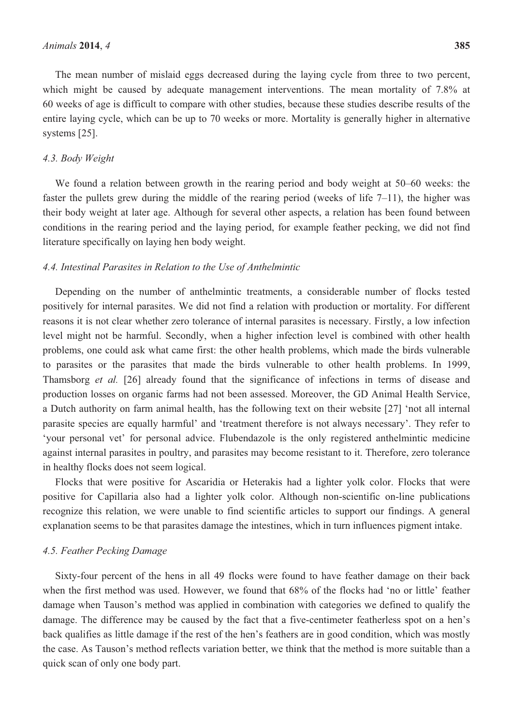The mean number of mislaid eggs decreased during the laying cycle from three to two percent, which might be caused by adequate management interventions. The mean mortality of 7.8% at 60 weeks of age is difficult to compare with other studies, because these studies describe results of the entire laying cycle, which can be up to 70 weeks or more. Mortality is generally higher in alternative systems [25].

## *4.3. Body Weight*

We found a relation between growth in the rearing period and body weight at 50–60 weeks: the faster the pullets grew during the middle of the rearing period (weeks of life 7–11), the higher was their body weight at later age. Although for several other aspects, a relation has been found between conditions in the rearing period and the laying period, for example feather pecking, we did not find literature specifically on laying hen body weight.

#### *4.4. Intestinal Parasites in Relation to the Use of Anthelmintic*

Depending on the number of anthelmintic treatments, a considerable number of flocks tested positively for internal parasites. We did not find a relation with production or mortality. For different reasons it is not clear whether zero tolerance of internal parasites is necessary. Firstly, a low infection level might not be harmful. Secondly, when a higher infection level is combined with other health problems, one could ask what came first: the other health problems, which made the birds vulnerable to parasites or the parasites that made the birds vulnerable to other health problems. In 1999, Thamsborg *et al.* [26] already found that the significance of infections in terms of disease and production losses on organic farms had not been assessed. Moreover, the GD Animal Health Service, a Dutch authority on farm animal health, has the following text on their website [27] 'not all internal parasite species are equally harmful' and 'treatment therefore is not always necessary'. They refer to 'your personal vet' for personal advice. Flubendazole is the only registered anthelmintic medicine against internal parasites in poultry, and parasites may become resistant to it. Therefore, zero tolerance in healthy flocks does not seem logical.

Flocks that were positive for Ascaridia or Heterakis had a lighter yolk color. Flocks that were positive for Capillaria also had a lighter yolk color. Although non-scientific on-line publications recognize this relation, we were unable to find scientific articles to support our findings. A general explanation seems to be that parasites damage the intestines, which in turn influences pigment intake.

## *4.5. Feather Pecking Damage*

Sixty-four percent of the hens in all 49 flocks were found to have feather damage on their back when the first method was used. However, we found that 68% of the flocks had 'no or little' feather damage when Tauson's method was applied in combination with categories we defined to qualify the damage. The difference may be caused by the fact that a five-centimeter featherless spot on a hen's back qualifies as little damage if the rest of the hen's feathers are in good condition, which was mostly the case. As Tauson's method reflects variation better, we think that the method is more suitable than a quick scan of only one body part.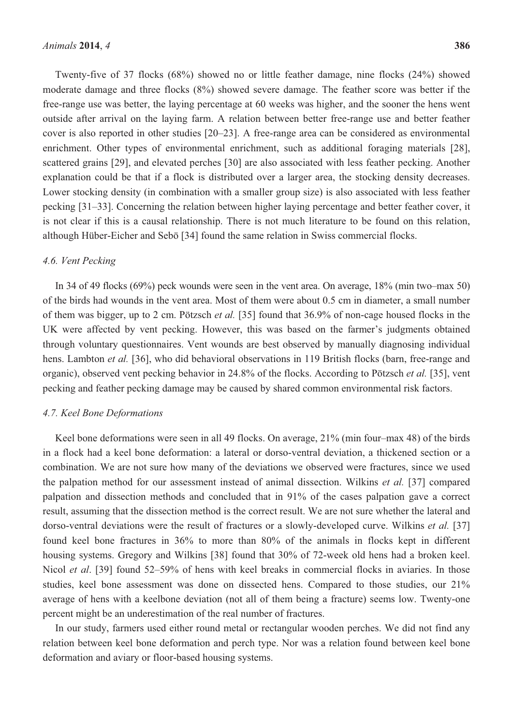Twenty-five of 37 flocks (68%) showed no or little feather damage, nine flocks (24%) showed moderate damage and three flocks (8%) showed severe damage. The feather score was better if the free-range use was better, the laying percentage at 60 weeks was higher, and the sooner the hens went outside after arrival on the laying farm. A relation between better free-range use and better feather cover is also reported in other studies [20–23]. A free-range area can be considered as environmental enrichment. Other types of environmental enrichment, such as additional foraging materials [28], scattered grains [29], and elevated perches [30] are also associated with less feather pecking. Another explanation could be that if a flock is distributed over a larger area, the stocking density decreases. Lower stocking density (in combination with a smaller group size) is also associated with less feather pecking [31–33]. Concerning the relation between higher laying percentage and better feather cover, it is not clear if this is a causal relationship. There is not much literature to be found on this relation, although Hüber-Eicher and Sebö [34] found the same relation in Swiss commercial flocks.

#### *4.6. Vent Pecking*

In 34 of 49 flocks (69%) peck wounds were seen in the vent area. On average, 18% (min two–max 50) of the birds had wounds in the vent area. Most of them were about 0.5 cm in diameter, a small number of them was bigger, up to 2 cm. Pötzsch *et al.* [35] found that 36.9% of non-cage housed flocks in the UK were affected by vent pecking. However, this was based on the farmer's judgments obtained through voluntary questionnaires. Vent wounds are best observed by manually diagnosing individual hens. Lambton *et al.* [36], who did behavioral observations in 119 British flocks (barn, free-range and organic), observed vent pecking behavior in 24.8% of the flocks. According to Pötzsch *et al.* [35], vent pecking and feather pecking damage may be caused by shared common environmental risk factors.

#### *4.7. Keel Bone Deformations*

Keel bone deformations were seen in all 49 flocks. On average, 21% (min four–max 48) of the birds in a flock had a keel bone deformation: a lateral or dorso-ventral deviation, a thickened section or a combination. We are not sure how many of the deviations we observed were fractures, since we used the palpation method for our assessment instead of animal dissection. Wilkins *et al.* [37] compared palpation and dissection methods and concluded that in 91% of the cases palpation gave a correct result, assuming that the dissection method is the correct result. We are not sure whether the lateral and dorso-ventral deviations were the result of fractures or a slowly-developed curve. Wilkins *et al.* [37] found keel bone fractures in 36% to more than 80% of the animals in flocks kept in different housing systems. Gregory and Wilkins [38] found that 30% of 72-week old hens had a broken keel. Nicol *et al*. [39] found 52–59% of hens with keel breaks in commercial flocks in aviaries. In those studies, keel bone assessment was done on dissected hens. Compared to those studies, our 21% average of hens with a keelbone deviation (not all of them being a fracture) seems low. Twenty-one percent might be an underestimation of the real number of fractures.

In our study, farmers used either round metal or rectangular wooden perches. We did not find any relation between keel bone deformation and perch type. Nor was a relation found between keel bone deformation and aviary or floor-based housing systems.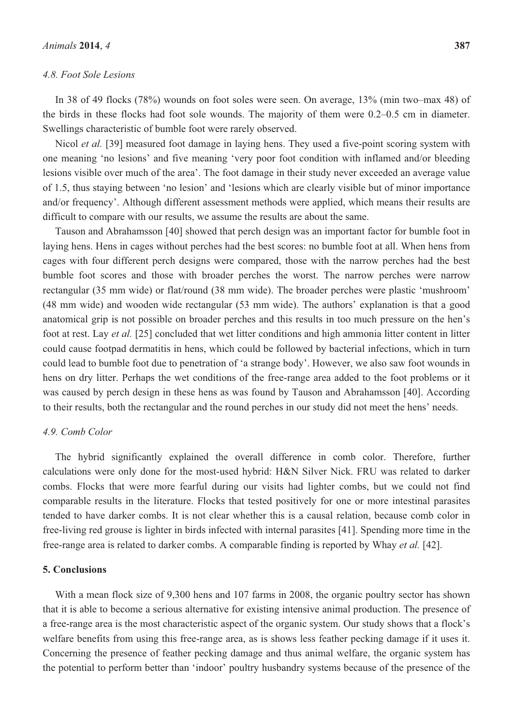## *4.8. Foot Sole Lesions*

In 38 of 49 flocks (78%) wounds on foot soles were seen. On average, 13% (min two–max 48) of the birds in these flocks had foot sole wounds. The majority of them were 0.2–0.5 cm in diameter. Swellings characteristic of bumble foot were rarely observed.

Nicol *et al.* [39] measured foot damage in laying hens. They used a five-point scoring system with one meaning 'no lesions' and five meaning 'very poor foot condition with inflamed and/or bleeding lesions visible over much of the area'. The foot damage in their study never exceeded an average value of 1.5, thus staying between 'no lesion' and 'lesions which are clearly visible but of minor importance and/or frequency'. Although different assessment methods were applied, which means their results are difficult to compare with our results, we assume the results are about the same.

Tauson and Abrahamsson [40] showed that perch design was an important factor for bumble foot in laying hens. Hens in cages without perches had the best scores: no bumble foot at all. When hens from cages with four different perch designs were compared, those with the narrow perches had the best bumble foot scores and those with broader perches the worst. The narrow perches were narrow rectangular (35 mm wide) or flat/round (38 mm wide). The broader perches were plastic 'mushroom' (48 mm wide) and wooden wide rectangular (53 mm wide). The authors' explanation is that a good anatomical grip is not possible on broader perches and this results in too much pressure on the hen's foot at rest. Lay *et al.* [25] concluded that wet litter conditions and high ammonia litter content in litter could cause footpad dermatitis in hens, which could be followed by bacterial infections, which in turn could lead to bumble foot due to penetration of 'a strange body'. However, we also saw foot wounds in hens on dry litter. Perhaps the wet conditions of the free-range area added to the foot problems or it was caused by perch design in these hens as was found by Tauson and Abrahamsson [40]. According to their results, both the rectangular and the round perches in our study did not meet the hens' needs.

#### *4.9. Comb Color*

The hybrid significantly explained the overall difference in comb color. Therefore, further calculations were only done for the most-used hybrid: H&N Silver Nick. FRU was related to darker combs. Flocks that were more fearful during our visits had lighter combs, but we could not find comparable results in the literature. Flocks that tested positively for one or more intestinal parasites tended to have darker combs. It is not clear whether this is a causal relation, because comb color in free-living red grouse is lighter in birds infected with internal parasites [41]. Spending more time in the free-range area is related to darker combs. A comparable finding is reported by Whay *et al.* [42].

#### **5. Conclusions**

With a mean flock size of 9,300 hens and 107 farms in 2008, the organic poultry sector has shown that it is able to become a serious alternative for existing intensive animal production. The presence of a free-range area is the most characteristic aspect of the organic system. Our study shows that a flock's welfare benefits from using this free-range area, as is shows less feather pecking damage if it uses it. Concerning the presence of feather pecking damage and thus animal welfare, the organic system has the potential to perform better than 'indoor' poultry husbandry systems because of the presence of the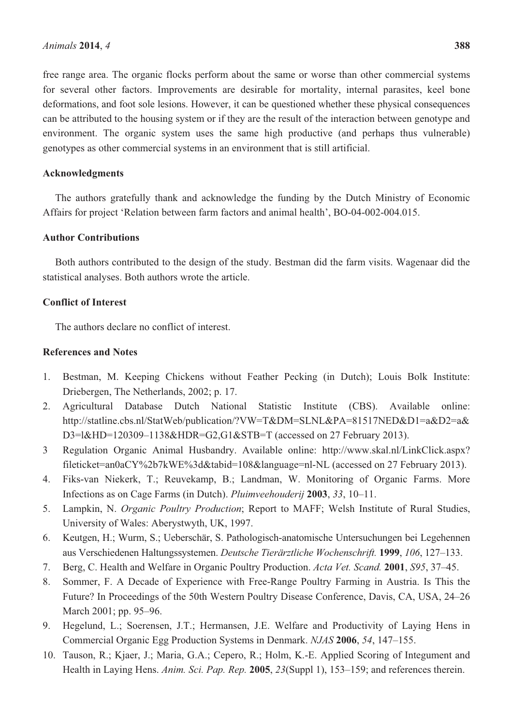free range area. The organic flocks perform about the same or worse than other commercial systems for several other factors. Improvements are desirable for mortality, internal parasites, keel bone deformations, and foot sole lesions. However, it can be questioned whether these physical consequences can be attributed to the housing system or if they are the result of the interaction between genotype and environment. The organic system uses the same high productive (and perhaps thus vulnerable) genotypes as other commercial systems in an environment that is still artificial.

#### **Acknowledgments**

The authors gratefully thank and acknowledge the funding by the Dutch Ministry of Economic Affairs for project 'Relation between farm factors and animal health', BO-04-002-004.015.

## **Author Contributions**

Both authors contributed to the design of the study. Bestman did the farm visits. Wagenaar did the statistical analyses. Both authors wrote the article.

## **Conflict of Interest**

The authors declare no conflict of interest.

## **References and Notes**

- 1. Bestman, M. Keeping Chickens without Feather Pecking (in Dutch); Louis Bolk Institute: Driebergen, The Netherlands, 2002; p. 17.
- 2. Agricultural Database Dutch National Statistic Institute (CBS). Available online: http://statline.cbs.nl/StatWeb/publication/?VW=T&DM=SLNL&PA=81517NED&D1=a&D2=a& D3=l&HD=120309–1138&HDR=G2,G1&STB=T (accessed on 27 February 2013).
- 3 Regulation Organic Animal Husbandry. Available online: http://www.skal.nl/LinkClick.aspx? fileticket=an0aCY%2b7kWE%3d&tabid=108&language=nl-NL (accessed on 27 February 2013).
- 4. Fiks-van Niekerk, T.; Reuvekamp, B.; Landman, W. Monitoring of Organic Farms. More Infections as on Cage Farms (in Dutch). *Pluimveehouderij* **2003**, *33*, 10–11.
- 5. Lampkin, N. *Organic Poultry Production*; Report to MAFF; Welsh Institute of Rural Studies, University of Wales: Aberystwyth, UK, 1997.
- 6. Keutgen, H.; Wurm, S.; Ueberschär, S. Pathologisch-anatomische Untersuchungen bei Legehennen aus Verschiedenen Haltungssystemen. *Deutsche Tierärztliche Wochenschrift.* **1999**, *106*, 127–133.
- 7. Berg, C. Health and Welfare in Organic Poultry Production. *Acta Vet. Scand.* **2001**, *S95*, 37–45.
- 8. Sommer, F. A Decade of Experience with Free-Range Poultry Farming in Austria. Is This the Future? In Proceedings of the 50th Western Poultry Disease Conference, Davis, CA, USA, 24–26 March 2001; pp. 95–96.
- 9. Hegelund, L.; Soerensen, J.T.; Hermansen, J.E. Welfare and Productivity of Laying Hens in Commercial Organic Egg Production Systems in Denmark. *NJAS* **2006**, *54*, 147–155.
- 10. Tauson, R.; Kjaer, J.; Maria, G.A.; Cepero, R.; Holm, K.-E. Applied Scoring of Integument and Health in Laying Hens. *Anim. Sci. Pap. Rep.* **2005**, *23*(Suppl 1), 153–159; and references therein.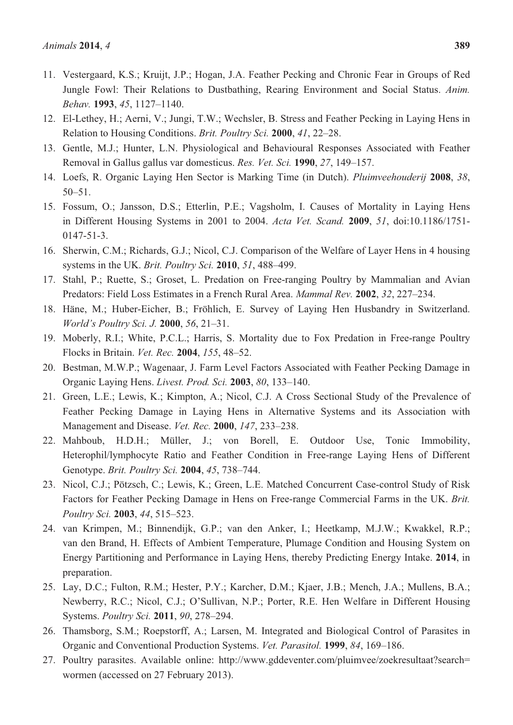- 11. Vestergaard, K.S.; Kruijt, J.P.; Hogan, J.A. Feather Pecking and Chronic Fear in Groups of Red Jungle Fowl: Their Relations to Dustbathing, Rearing Environment and Social Status. *Anim. Behav.* **1993**, *45*, 1127–1140.
- 12. El-Lethey, H.; Aerni, V.; Jungi, T.W.; Wechsler, B. Stress and Feather Pecking in Laying Hens in Relation to Housing Conditions. *Brit. Poultry Sci.* **2000**, *41*, 22–28.
- 13. Gentle, M.J.; Hunter, L.N. Physiological and Behavioural Responses Associated with Feather Removal in Gallus gallus var domesticus. *Res. Vet. Sci.* **1990**, *27*, 149–157.
- 14. Loefs, R. Organic Laying Hen Sector is Marking Time (in Dutch). *Pluimveehouderij* **2008**, *38*, 50–51.
- 15. Fossum, O.; Jansson, D.S.; Etterlin, P.E.; Vagsholm, I. Causes of Mortality in Laying Hens in Different Housing Systems in 2001 to 2004. *Acta Vet. Scand.* **2009**, *51*, doi:10.1186/1751- 0147-51-3.
- 16. Sherwin, C.M.; Richards, G.J.; Nicol, C.J. Comparison of the Welfare of Layer Hens in 4 housing systems in the UK. *Brit. Poultry Sci.* **2010**, *51*, 488–499.
- 17. Stahl, P.; Ruette, S.; Groset, L. Predation on Free-ranging Poultry by Mammalian and Avian Predators: Field Loss Estimates in a French Rural Area. *Mammal Rev.* **2002**, *32*, 227–234.
- 18. Häne, M.; Huber-Eicher, B.; Fröhlich, E. Survey of Laying Hen Husbandry in Switzerland. *World's Poultry Sci. J.* **2000**, *56*, 21–31.
- 19. Moberly, R.I.; White, P.C.L.; Harris, S. Mortality due to Fox Predation in Free-range Poultry Flocks in Britain. *Vet. Rec.* **2004**, *155*, 48–52.
- 20. Bestman, M.W.P.; Wagenaar, J. Farm Level Factors Associated with Feather Pecking Damage in Organic Laying Hens. *Livest. Prod. Sci.* **2003**, *80*, 133–140.
- 21. Green, L.E.; Lewis, K.; Kimpton, A.; Nicol, C.J. A Cross Sectional Study of the Prevalence of Feather Pecking Damage in Laying Hens in Alternative Systems and its Association with Management and Disease. *Vet. Rec.* **2000**, *147*, 233–238.
- 22. Mahboub, H.D.H.; Müller, J.; von Borell, E. Outdoor Use, Tonic Immobility, Heterophil/lymphocyte Ratio and Feather Condition in Free-range Laying Hens of Different Genotype. *Brit. Poultry Sci.* **2004**, *45*, 738–744.
- 23. Nicol, C.J.; Pötzsch, C.; Lewis, K.; Green, L.E. Matched Concurrent Case-control Study of Risk Factors for Feather Pecking Damage in Hens on Free-range Commercial Farms in the UK. *Brit. Poultry Sci.* **2003**, *44*, 515–523.
- 24. van Krimpen, M.; Binnendijk, G.P.; van den Anker, I.; Heetkamp, M.J.W.; Kwakkel, R.P.; van den Brand, H. Effects of Ambient Temperature, Plumage Condition and Housing System on Energy Partitioning and Performance in Laying Hens, thereby Predicting Energy Intake. **2014**, in preparation.
- 25. Lay, D.C.; Fulton, R.M.; Hester, P.Y.; Karcher, D.M.; Kjaer, J.B.; Mench, J.A.; Mullens, B.A.; Newberry, R.C.; Nicol, C.J.; O'Sullivan, N.P.; Porter, R.E. Hen Welfare in Different Housing Systems. *Poultry Sci.* **2011**, *90*, 278–294.
- 26. Thamsborg, S.M.; Roepstorff, A.; Larsen, M. Integrated and Biological Control of Parasites in Organic and Conventional Production Systems. *Vet. Parasitol.* **1999**, *84*, 169–186.
- 27. Poultry parasites. Available online: http://www.gddeventer.com/pluimvee/zoekresultaat?search= wormen (accessed on 27 February 2013).